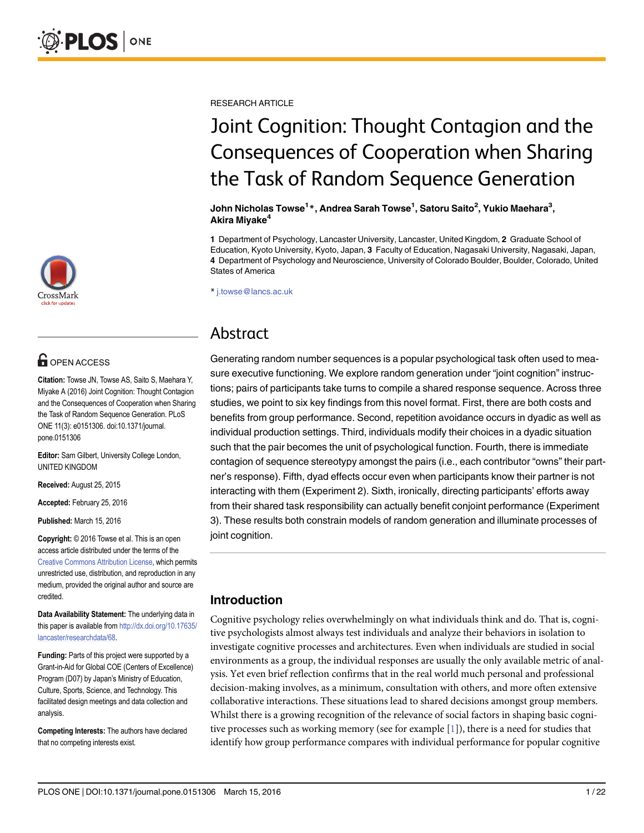

# **G** OPEN ACCESS

Citation: Towse JN, Towse AS, Saito S, Maehara Y, Miyake A (2016) Joint Cognition: Thought Contagion and the Consequences of Cooperation when Sharing the Task of Random Sequence Generation. PLoS ONE 11(3): e0151306. doi:10.1371/journal. pone.0151306

Editor: Sam Gilbert, University College London, UNITED KINGDOM

Received: August 25, 2015

Accepted: February 25, 2016

Published: March 15, 2016

Copyright: © 2016 Towse et al. This is an open access article distributed under the terms of the [Creative Commons Attribution License,](http://creativecommons.org/licenses/by/4.0/) which permits unrestricted use, distribution, and reproduction in any medium, provided the original author and source are credited.

Data Availability Statement: The underlying data in this paper is available from [http://dx.doi.org/10.17635/](http://dx.doi.org/10.17635/lancaster/researchdata/68) [lancaster/researchdata/68.](http://dx.doi.org/10.17635/lancaster/researchdata/68)

Funding: Parts of this project were supported by a Grant-in-Aid for Global COE (Centers of Excellence) Program (D07) by Japan's Ministry of Education, Culture, Sports, Science, and Technology. This facilitated design meetings and data collection and analysis.

Competing Interests: The authors have declared that no competing interests exist.

RESEARCH ARTICLE

# Joint Cognition: Thought Contagion and the Consequences of Cooperation when Sharing the Task of Random Sequence Generation

John Nicholas Towse<sup>1</sup>\*, Andrea Sarah Towse<sup>1</sup>, Satoru Saito<sup>2</sup>, Yukio Maehara<sup>3</sup>, Akira Miyake<sup>4</sup>

1 Department of Psychology, Lancaster University, Lancaster, United Kingdom, 2 Graduate School of Education, Kyoto University, Kyoto, Japan, 3 Faculty of Education, Nagasaki University, Nagasaki, Japan, 4 Department of Psychology and Neuroscience, University of Colorado Boulder, Boulder, Colorado, United States of America

\* j.towse@lancs.ac.uk

## Abstract

Generating random number sequences is a popular psychological task often used to measure executive functioning. We explore random generation under "joint cognition" instructions; pairs of participants take turns to compile a shared response sequence. Across three studies, we point to six key findings from this novel format. First, there are both costs and benefits from group performance. Second, repetition avoidance occurs in dyadic as well as individual production settings. Third, individuals modify their choices in a dyadic situation such that the pair becomes the unit of psychological function. Fourth, there is immediate contagion of sequence stereotypy amongst the pairs (i.e., each contributor "owns" their partner's response). Fifth, dyad effects occur even when participants know their partner is not interacting with them (Experiment 2). Sixth, ironically, directing participants' efforts away from their shared task responsibility can actually benefit conjoint performance (Experiment 3). These results both constrain models of random generation and illuminate processes of joint cognition.

## Introduction

Cognitive psychology relies overwhelmingly on what individuals think and do. That is, cognitive psychologists almost always test individuals and analyze their behaviors in isolation to investigate cognitive processes and architectures. Even when individuals are studied in social environments as a group, the individual responses are usually the only available metric of analysis. Yet even brief reflection confirms that in the real world much personal and professional decision-making involves, as a minimum, consultation with others, and more often extensive collaborative interactions. These situations lead to shared decisions amongst group members. Whilst there is a growing recognition of the relevance of social factors in shaping basic cognitive processes such as working memory (see for example  $[1]$ ), there is a need for studies that identify how group performance compares with individual performance for popular cognitive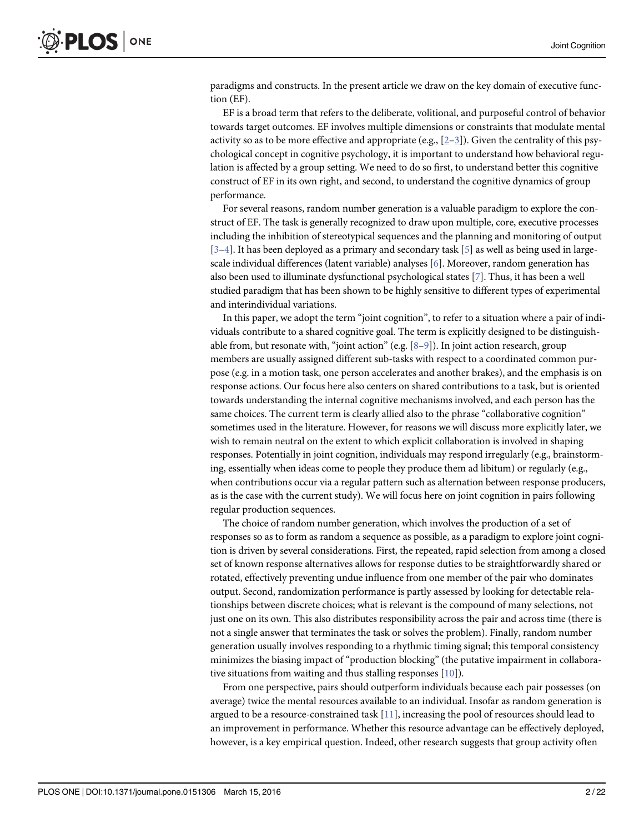paradigms and constructs. In the present article we draw on the key domain of executive function (EF).

EF is a broad term that refers to the deliberate, volitional, and purposeful control of behavior towards target outcomes. EF involves multiple dimensions or constraints that modulate mental activity so as to be more effective and appropriate (e.g.,  $[2-3]$ ). Given the centrality of this psychological concept in cognitive psychology, it is important to understand how behavioral regulation is affected by a group setting. We need to do so first, to understand better this cognitive construct of EF in its own right, and second, to understand the cognitive dynamics of group performance.

For several reasons, random number generation is a valuable paradigm to explore the construct of EF. The task is generally recognized to draw upon multiple, core, executive processes including the inhibition of stereotypical sequences and the planning and monitoring of output  $[3-4]$ . It has been deployed as a primary and secondary task  $[5]$  as well as being used in largescale individual differences (latent variable) analyses [6]. Moreover, random generation has also been used to illuminate dysfunctional psychological states  $[7]$ . Thus, it has been a well studied paradigm that has been shown to be highly sensitive to different types of experimental and interindividual variations.

In this paper, we adopt the term "joint cognition", to refer to a situation where a pair of individuals contribute to a shared cognitive goal. The term is explicitly designed to be distinguishable from, but resonate with, "joint action" (e.g.  $[8-9]$ ). In joint action research, group members are usually assigned different sub-tasks with respect to a coordinated common purpose (e.g. in a motion task, one person accelerates and another brakes), and the emphasis is on response actions. Our focus here also centers on shared contributions to a task, but is oriented towards understanding the internal cognitive mechanisms involved, and each person has the same choices. The current term is clearly allied also to the phrase "collaborative cognition" sometimes used in the literature. However, for reasons we will discuss more explicitly later, we wish to remain neutral on the extent to which explicit collaboration is involved in shaping responses. Potentially in joint cognition, individuals may respond irregularly (e.g., brainstorming, essentially when ideas come to people they produce them ad libitum) or regularly (e.g., when contributions occur via a regular pattern such as alternation between response producers, as is the case with the current study). We will focus here on joint cognition in pairs following regular production sequences.

The choice of random number generation, which involves the production of a set of responses so as to form as random a sequence as possible, as a paradigm to explore joint cognition is driven by several considerations. First, the repeated, rapid selection from among a closed set of known response alternatives allows for response duties to be straightforwardly shared or rotated, effectively preventing undue influence from one member of the pair who dominates output. Second, randomization performance is partly assessed by looking for detectable relationships between discrete choices; what is relevant is the compound of many selections, not just one on its own. This also distributes responsibility across the pair and across time (there is not a single answer that terminates the task or solves the problem). Finally, random number generation usually involves responding to a rhythmic timing signal; this temporal consistency minimizes the biasing impact of "production blocking" (the putative impairment in collaborative situations from waiting and thus stalling responses [10]).

From one perspective, pairs should outperform individuals because each pair possesses (on average) twice the mental resources available to an individual. Insofar as random generation is argued to be a resource-constrained task  $[11]$ , increasing the pool of resources should lead to an improvement in performance. Whether this resource advantage can be effectively deployed, however, is a key empirical question. Indeed, other research suggests that group activity often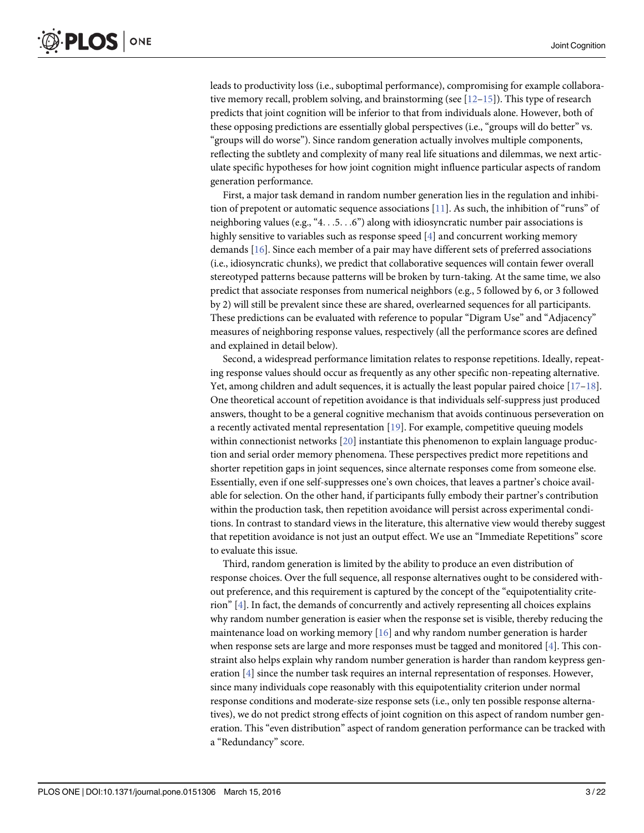leads to productivity loss (i.e., suboptimal performance), compromising for example collaborative memory recall, problem solving, and brainstorming (see  $[12–15]$ ). This type of research predicts that joint cognition will be inferior to that from individuals alone. However, both of these opposing predictions are essentially global perspectives (i.e., "groups will do better" vs. "groups will do worse"). Since random generation actually involves multiple components, reflecting the subtlety and complexity of many real life situations and dilemmas, we next articulate specific hypotheses for how joint cognition might influence particular aspects of random generation performance.

First, a major task demand in random number generation lies in the regulation and inhibition of prepotent or automatic sequence associations  $[11]$ . As such, the inhibition of "runs" of neighboring values (e.g., "4...5...6") along with idiosyncratic number pair associations is highly sensitive to variables such as response speed  $[4]$  and concurrent working memory demands [16]. Since each member of a pair may have different sets of preferred associations (i.e., idiosyncratic chunks), we predict that collaborative sequences will contain fewer overall stereotyped patterns because patterns will be broken by turn-taking. At the same time, we also predict that associate responses from numerical neighbors (e.g., 5 followed by 6, or 3 followed by 2) will still be prevalent since these are shared, overlearned sequences for all participants. These predictions can be evaluated with reference to popular "Digram Use" and "Adjacency" measures of neighboring response values, respectively (all the performance scores are defined and explained in detail below).

Second, a widespread performance limitation relates to response repetitions. Ideally, repeating response values should occur as frequently as any other specific non-repeating alternative. Yet, among children and adult sequences, it is actually the least popular paired choice  $[17-18]$ . One theoretical account of repetition avoidance is that individuals self-suppress just produced answers, thought to be a general cognitive mechanism that avoids continuous perseveration on a recently activated mental representation [19]. For example, competitive queuing models within connectionist networks [20] instantiate this phenomenon to explain language production and serial order memory phenomena. These perspectives predict more repetitions and shorter repetition gaps in joint sequences, since alternate responses come from someone else. Essentially, even if one self-suppresses one's own choices, that leaves a partner's choice available for selection. On the other hand, if participants fully embody their partner's contribution within the production task, then repetition avoidance will persist across experimental conditions. In contrast to standard views in the literature, this alternative view would thereby suggest that repetition avoidance is not just an output effect. We use an "Immediate Repetitions" score to evaluate this issue.

Third, random generation is limited by the ability to produce an even distribution of response choices. Over the full sequence, all response alternatives ought to be considered without preference, and this requirement is captured by the concept of the "equipotentiality criterion"  $[4]$ . In fact, the demands of concurrently and actively representing all choices explains why random number generation is easier when the response set is visible, thereby reducing the maintenance load on working memory [16] and why random number generation is harder when response sets are large and more responses must be tagged and monitored  $[4]$ . This constraint also helps explain why random number generation is harder than random keypress generation [4] since the number task requires an internal representation of responses. However, since many individuals cope reasonably with this equipotentiality criterion under normal response conditions and moderate-size response sets (i.e., only ten possible response alternatives), we do not predict strong effects of joint cognition on this aspect of random number generation. This "even distribution" aspect of random generation performance can be tracked with a "Redundancy" score.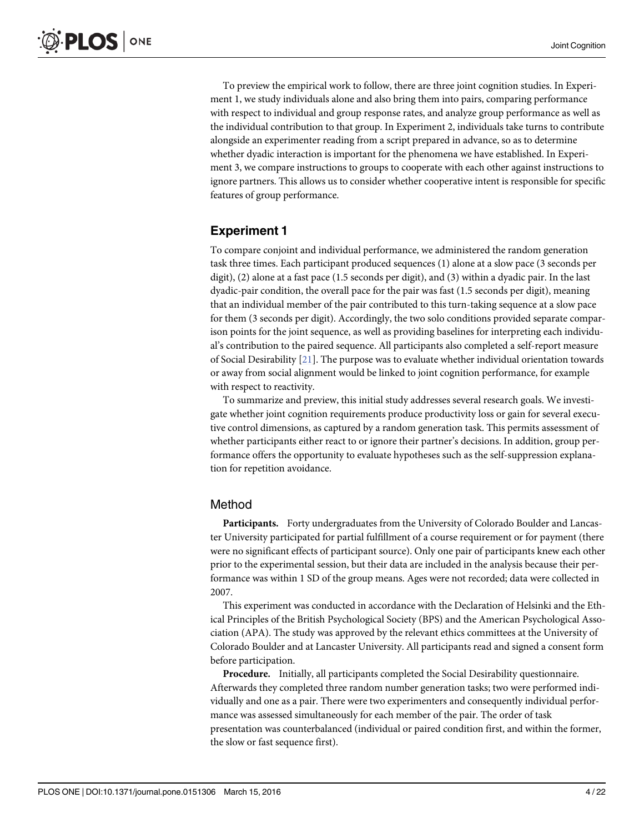To preview the empirical work to follow, there are three joint cognition studies. In Experiment 1, we study individuals alone and also bring them into pairs, comparing performance with respect to individual and group response rates, and analyze group performance as well as the individual contribution to that group. In Experiment 2, individuals take turns to contribute alongside an experimenter reading from a script prepared in advance, so as to determine whether dyadic interaction is important for the phenomena we have established. In Experiment 3, we compare instructions to groups to cooperate with each other against instructions to ignore partners. This allows us to consider whether cooperative intent is responsible for specific features of group performance.

## Experiment 1

To compare conjoint and individual performance, we administered the random generation task three times. Each participant produced sequences (1) alone at a slow pace (3 seconds per digit), (2) alone at a fast pace (1.5 seconds per digit), and (3) within a dyadic pair. In the last dyadic-pair condition, the overall pace for the pair was fast (1.5 seconds per digit), meaning that an individual member of the pair contributed to this turn-taking sequence at a slow pace for them (3 seconds per digit). Accordingly, the two solo conditions provided separate comparison points for the joint sequence, as well as providing baselines for interpreting each individual's contribution to the paired sequence. All participants also completed a self-report measure of Social Desirability [21]. The purpose was to evaluate whether individual orientation towards or away from social alignment would be linked to joint cognition performance, for example with respect to reactivity.

To summarize and preview, this initial study addresses several research goals. We investigate whether joint cognition requirements produce productivity loss or gain for several executive control dimensions, as captured by a random generation task. This permits assessment of whether participants either react to or ignore their partner's decisions. In addition, group performance offers the opportunity to evaluate hypotheses such as the self-suppression explanation for repetition avoidance.

#### Method

Participants. Forty undergraduates from the University of Colorado Boulder and Lancaster University participated for partial fulfillment of a course requirement or for payment (there were no significant effects of participant source). Only one pair of participants knew each other prior to the experimental session, but their data are included in the analysis because their performance was within 1 SD of the group means. Ages were not recorded; data were collected in 2007.

This experiment was conducted in accordance with the Declaration of Helsinki and the Ethical Principles of the British Psychological Society (BPS) and the American Psychological Association (APA). The study was approved by the relevant ethics committees at the University of Colorado Boulder and at Lancaster University. All participants read and signed a consent form before participation.

Procedure. Initially, all participants completed the Social Desirability questionnaire. Afterwards they completed three random number generation tasks; two were performed individually and one as a pair. There were two experimenters and consequently individual performance was assessed simultaneously for each member of the pair. The order of task presentation was counterbalanced (individual or paired condition first, and within the former, the slow or fast sequence first).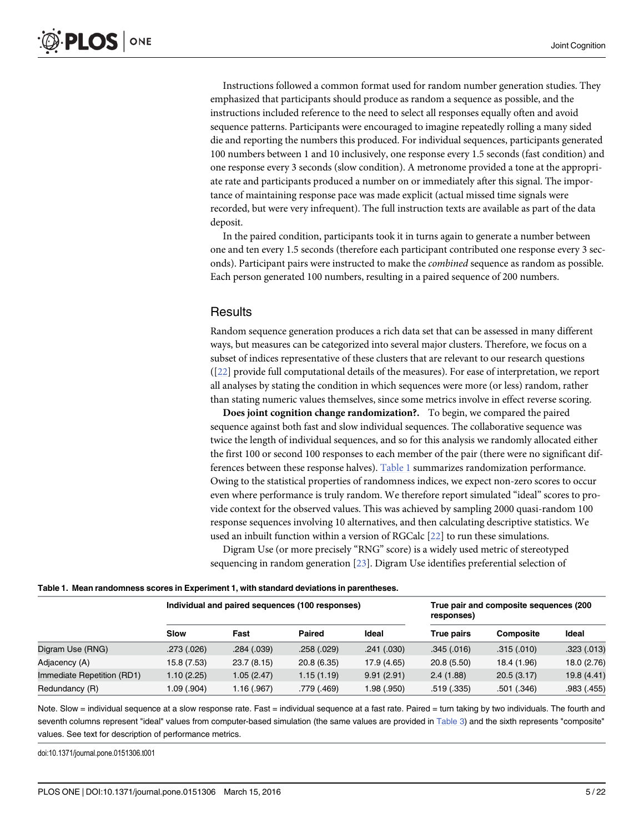Instructions followed a common format used for random number generation studies. They emphasized that participants should produce as random a sequence as possible, and the instructions included reference to the need to select all responses equally often and avoid sequence patterns. Participants were encouraged to imagine repeatedly rolling a many sided die and reporting the numbers this produced. For individual sequences, participants generated 100 numbers between 1 and 10 inclusively, one response every 1.5 seconds (fast condition) and one response every 3 seconds (slow condition). A metronome provided a tone at the appropriate rate and participants produced a number on or immediately after this signal. The importance of maintaining response pace was made explicit (actual missed time signals were recorded, but were very infrequent). The full instruction texts are available as part of the data deposit.

In the paired condition, participants took it in turns again to generate a number between one and ten every 1.5 seconds (therefore each participant contributed one response every 3 seconds). Participant pairs were instructed to make the combined sequence as random as possible. Each person generated 100 numbers, resulting in a paired sequence of 200 numbers.

#### **Results**

Random sequence generation produces a rich data set that can be assessed in many different ways, but measures can be categorized into several major clusters. Therefore, we focus on a subset of indices representative of these clusters that are relevant to our research questions ([22] provide full computational details of the measures). For ease of interpretation, we report all analyses by stating the condition in which sequences were more (or less) random, rather than stating numeric values themselves, since some metrics involve in effect reverse scoring.

Does joint cognition change randomization?. To begin, we compared the paired sequence against both fast and slow individual sequences. The collaborative sequence was twice the length of individual sequences, and so for this analysis we randomly allocated either the first 100 or second 100 responses to each member of the pair (there were no significant differences between these response halves). Table 1 summarizes randomization performance. Owing to the statistical properties of randomness indices, we expect non-zero scores to occur even where performance is truly random. We therefore report simulated "ideal" scores to provide context for the observed values. This was achieved by sampling 2000 quasi-random 100 response sequences involving 10 alternatives, and then calculating descriptive statistics. We used an inbuilt function within a version of RGCalc [22] to run these simulations.

Digram Use (or more precisely "RNG" score) is a widely used metric of stereotyped sequencing in random generation [23]. Digram Use identifies preferential selection of

|  | Table 1. Mean randomness scores in Experiment 1, with standard deviations in parentheses. |  |
|--|-------------------------------------------------------------------------------------------|--|
|--|-------------------------------------------------------------------------------------------|--|

|                            | Individual and paired sequences (100 responses) |             |             |             | True pair and composite sequences (200)<br>responses) |                  |             |
|----------------------------|-------------------------------------------------|-------------|-------------|-------------|-------------------------------------------------------|------------------|-------------|
|                            | <b>Slow</b>                                     | Fast        | Paired      | Ideal       | True pairs                                            | <b>Composite</b> | Ideal       |
| Digram Use (RNG)           | .273(.026)                                      | .284(.039)  | .258(.029)  | .241(.030)  | .345(.016)                                            | .315(.010)       | .323(.013)  |
| Adjacency (A)              | 15.8 (7.53)                                     | 23.7 (8.15) | 20.8 (6.35) | 17.9 (4.65) | 20.8(5.50)                                            | 18.4 (1.96)      | 18.0 (2.76) |
| Immediate Repetition (RD1) | 1.10(2.25)                                      | 1.05(2.47)  | 1.15(1.19)  | 9.91(2.91)  | 2.4(1.88)                                             | 20.5(3.17)       | 19.8 (4.41) |
| Redundancy (R)             | 1.09 (.904)                                     | 1.16(.967)  | .779 (.469) | 1.98 (.950) | .519 (.335)                                           | .501(.346)       | .983 (.455) |

Note. Slow = individual sequence at a slow response rate. Fast = individual sequence at a fast rate. Paired = turn taking by two individuals. The fourth and seventh columns represent "ideal" values from computer-based simulation (the same values are provided in Table 3) and the sixth represents "composite" values. See text for description of performance metrics.

doi:10.1371/journal.pone.0151306.t001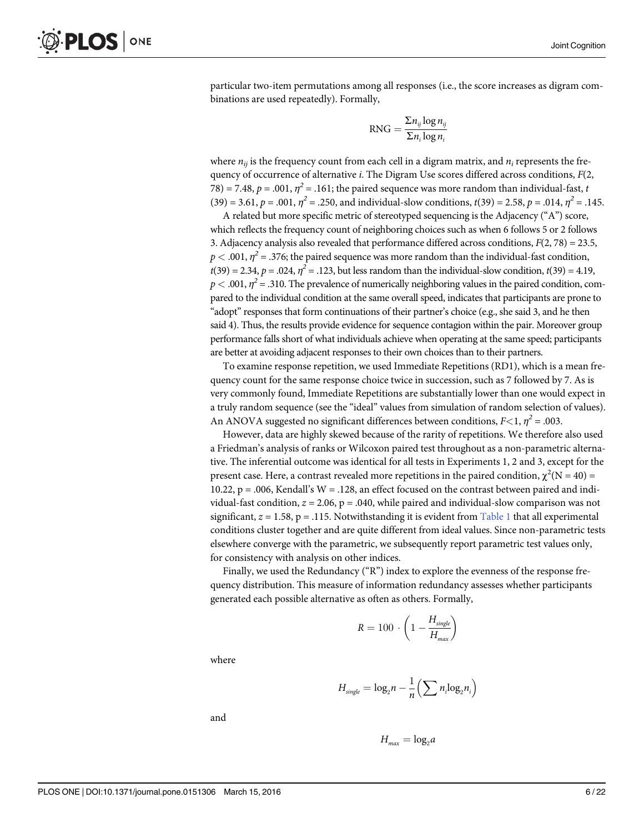particular two-item permutations among all responses (i.e., the score increases as digram combinations are used repeatedly). Formally,

$$
RNG = \frac{\sum n_{ij} \log n_{ij}}{\sum n_i \log n_i}
$$

where  $n_{ij}$  is the frequency count from each cell in a digram matrix, and  $n_i$  represents the frequency of occurrence of alternative *i*. The Digram Use scores differed across conditions,  $F(2)$ , 78) = 7.48,  $p = .001$ ,  $\eta^2 = .161$ ; the paired sequence was more random than individual-fast, t  $(39) = 3.61, p = .001, \eta^2 = .250,$  and individual-slow conditions,  $t(39) = 2.58, p = .014, \eta^2 = .145.$ 

A related but more specific metric of stereotyped sequencing is the Adjacency ("A") score, which reflects the frequency count of neighboring choices such as when 6 follows 5 or 2 follows 3. Adjacency analysis also revealed that performance differed across conditions,  $F(2, 78) = 23.5$ ,  $p < .001$ ,  $\eta^2 = .376$ ; the paired sequence was more random than the individual-fast condition,  $t(39) = 2.34, p = .024, \eta^2 = .123$ , but less random than the individual-slow condition,  $t(39) = 4.19$ ,  $p < .001$ ,  $\eta^2 = .310$ . The prevalence of numerically neighboring values in the paired condition, compared to the individual condition at the same overall speed, indicates that participants are prone to "adopt" responses that form continuations of their partner's choice (e.g., she said 3, and he then said 4). Thus, the results provide evidence for sequence contagion within the pair. Moreover group performance falls short of what individuals achieve when operating at the same speed; participants are better at avoiding adjacent responses to their own choices than to their partners.

To examine response repetition, we used Immediate Repetitions (RD1), which is a mean frequency count for the same response choice twice in succession, such as 7 followed by 7. As is very commonly found, Immediate Repetitions are substantially lower than one would expect in a truly random sequence (see the "ideal" values from simulation of random selection of values). An ANOVA suggested no significant differences between conditions,  $F<1$ ,  $\eta^2 = .003$ .

However, data are highly skewed because of the rarity of repetitions. We therefore also used a Friedman's analysis of ranks or Wilcoxon paired test throughout as a non-parametric alternative. The inferential outcome was identical for all tests in Experiments 1, 2 and 3, except for the present case. Here, a contrast revealed more repetitions in the paired condition,  $\chi^2(N=40)$  = 10.22,  $p = .006$ , Kendall's W = .128, an effect focused on the contrast between paired and individual-fast condition,  $z = 2.06$ ,  $p = .040$ , while paired and individual-slow comparison was not significant,  $z = 1.58$ ,  $p = .115$ . Notwithstanding it is evident from Table 1 that all experimental conditions cluster together and are quite different from ideal values. Since non-parametric tests elsewhere converge with the parametric, we subsequently report parametric test values only, for consistency with analysis on other indices.

Finally, we used the Redundancy ( $\langle R^2 \rangle$ ) index to explore the evenness of the response frequency distribution. This measure of information redundancy assesses whether participants generated each possible alternative as often as others. Formally,

$$
R = 100 \cdot \left(1 - \frac{H_{single}}{H_{max}}\right)
$$

where

$$
H_{single} = \log_2 n - \frac{1}{n} \left( \sum n_i \log_2 n_i \right)
$$

and

$$
H_{\text{max}} = \log_2 a
$$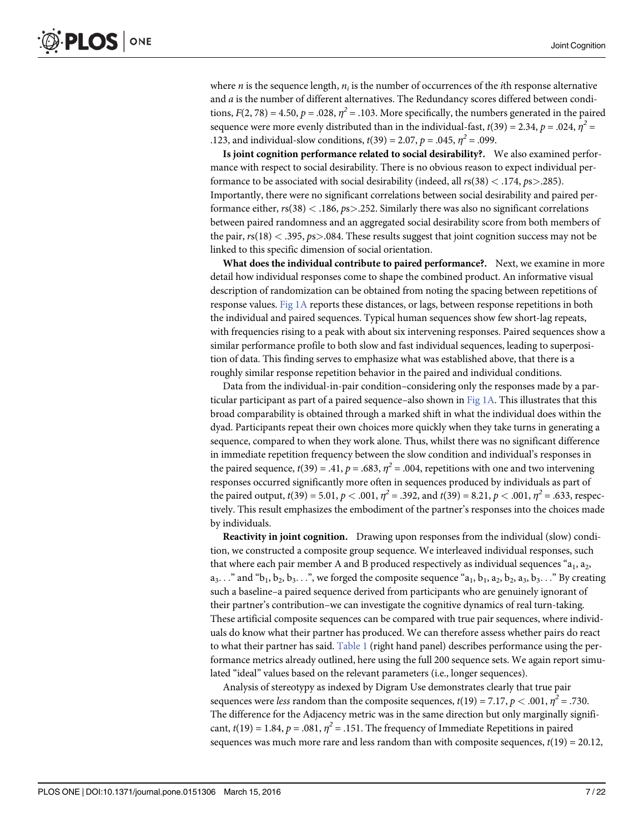where *n* is the sequence length,  $n_i$  is the number of occurrences of the *i*th response alternative and a is the number of different alternatives. The Redundancy scores differed between conditions,  $F(2, 78) = 4.50$ ,  $p = .028$ ,  $\eta^2 = .103$ . More specifically, the numbers generated in the paired sequence were more evenly distributed than in the individual-fast,  $t(39) = 2.34$ ,  $p = .024$ ,  $\eta^2 =$ .123, and individual-slow conditions,  $t(39) = 2.07$ ,  $p = .045$ ,  $\eta^2 = .099$ .

Is joint cognition performance related to social desirability?. We also examined performance with respect to social desirability. There is no obvious reason to expect individual performance to be associated with social desirability (indeed, all  $rs(38) < .174$ ,  $ps > .285$ ). Importantly, there were no significant correlations between social desirability and paired performance either,  $rs(38) < .186$ ,  $ps > .252$ . Similarly there was also no significant correlations between paired randomness and an aggregated social desirability score from both members of the pair,  $rs(18) < .395$ ,  $ps > .084$ . These results suggest that joint cognition success may not be linked to this specific dimension of social orientation.

What does the individual contribute to paired performance?. Next, we examine in more detail how individual responses come to shape the combined product. An informative visual description of randomization can be obtained from noting the spacing between repetitions of response values. Fig  $1A$  reports these distances, or lags, between response repetitions in both the individual and paired sequences. Typical human sequences show few short-lag repeats, with frequencies rising to a peak with about six intervening responses. Paired sequences show a similar performance profile to both slow and fast individual sequences, leading to superposition of data. This finding serves to emphasize what was established above, that there is a roughly similar response repetition behavior in the paired and individual conditions.

Data from the individual-in-pair condition–considering only the responses made by a particular participant as part of a paired sequence–also shown in  $Fig 1A$ . This illustrates that this broad comparability is obtained through a marked shift in what the individual does within the dyad. Participants repeat their own choices more quickly when they take turns in generating a sequence, compared to when they work alone. Thus, whilst there was no significant difference in immediate repetition frequency between the slow condition and individual's responses in the paired sequence,  $t(39) = .41$ ,  $p = .683$ ,  $\eta^2 = .004$ , repetitions with one and two intervening responses occurred significantly more often in sequences produced by individuals as part of the paired output,  $t(39) = 5.01$ ,  $p < .001$ ,  $\eta^2 = .392$ , and  $t(39) = 8.21$ ,  $p < .001$ ,  $\eta^2 = .633$ , respectively. This result emphasizes the embodiment of the partner's responses into the choices made by individuals.

Reactivity in joint cognition. Drawing upon responses from the individual (slow) condition, we constructed a composite group sequence. We interleaved individual responses, such that where each pair member A and B produced respectively as individual sequences " $a_1$ ,  $a_2$ ,  $a_3$ ..." and " $b_1$ ,  $b_2$ ,  $b_3$ ...", we forged the composite sequence " $a_1$ ,  $b_1$ ,  $a_2$ ,  $b_2$ ,  $a_3$ ,  $b_3$ ..." By creating such a baseline–a paired sequence derived from participants who are genuinely ignorant of their partner's contribution–we can investigate the cognitive dynamics of real turn-taking. These artificial composite sequences can be compared with true pair sequences, where individuals do know what their partner has produced. We can therefore assess whether pairs do react to what their partner has said. Table 1 (right hand panel) describes performance using the performance metrics already outlined, here using the full 200 sequence sets. We again report simulated "ideal" values based on the relevant parameters (i.e., longer sequences).

Analysis of stereotypy as indexed by Digram Use demonstrates clearly that true pair sequences were less random than the composite sequences,  $t(19) = 7.17$ ,  $p < .001$ ,  $\eta^2 = .730$ . The difference for the Adjacency metric was in the same direction but only marginally significant,  $t(19) = 1.84$ ,  $p = .081$ ,  $\eta^2 = .151$ . The frequency of Immediate Repetitions in paired sequences was much more rare and less random than with composite sequences,  $t(19) = 20.12$ ,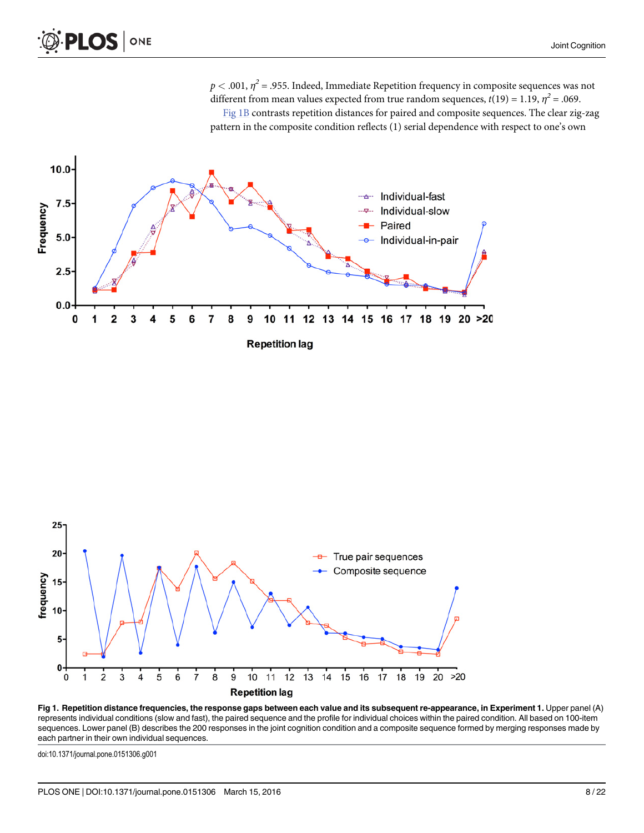$p < .001$ ,  $\eta^2 = .955$ . Indeed, Immediate Repetition frequency in composite sequences was not different from mean values expected from true random sequences,  $t(19) = 1.19$ ,  $\eta^2 = .069$ . Fig 1B contrasts repetition distances for paired and composite sequences. The clear zig-zag

pattern in the composite condition reflects (1) serial dependence with respect to one's own





Fig 1. Repetition distance frequencies, the response gaps between each value and its subsequent re-appearance, in Experiment 1. Upper panel (A) represents individual conditions (slow and fast), the paired sequence and the profile for individual choices within the paired condition. All based on 100-item sequences. Lower panel (B) describes the 200 responses in the joint cognition condition and a composite sequence formed by merging responses made by each partner in their own individual sequences.

doi:10.1371/journal.pone.0151306.g001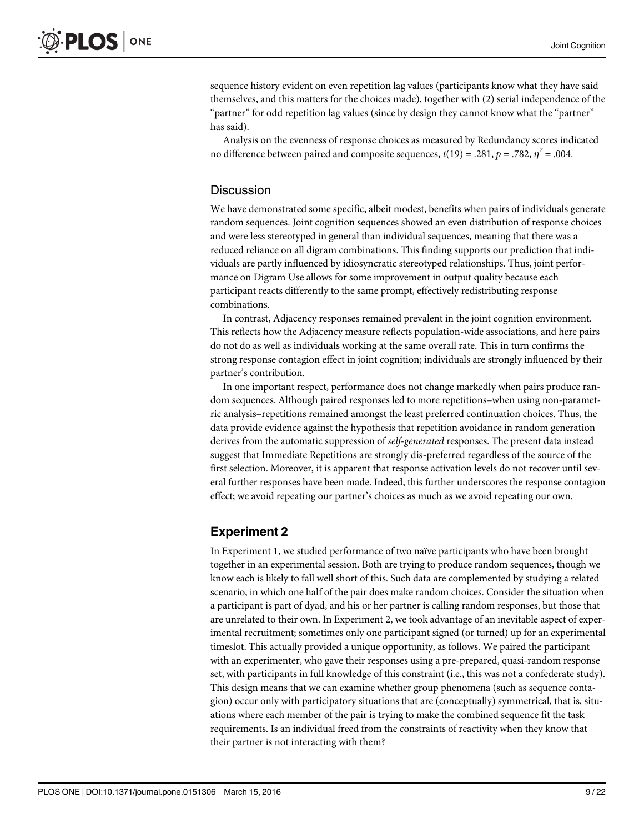sequence history evident on even repetition lag values (participants know what they have said themselves, and this matters for the choices made), together with (2) serial independence of the "partner" for odd repetition lag values (since by design they cannot know what the "partner" has said).

Analysis on the evenness of response choices as measured by Redundancy scores indicated no difference between paired and composite sequences,  $t(19) = .281$ ,  $p = .782$ ,  $\eta^2 = .004$ .

## **Discussion**

We have demonstrated some specific, albeit modest, benefits when pairs of individuals generate random sequences. Joint cognition sequences showed an even distribution of response choices and were less stereotyped in general than individual sequences, meaning that there was a reduced reliance on all digram combinations. This finding supports our prediction that individuals are partly influenced by idiosyncratic stereotyped relationships. Thus, joint performance on Digram Use allows for some improvement in output quality because each participant reacts differently to the same prompt, effectively redistributing response combinations.

In contrast, Adjacency responses remained prevalent in the joint cognition environment. This reflects how the Adjacency measure reflects population-wide associations, and here pairs do not do as well as individuals working at the same overall rate. This in turn confirms the strong response contagion effect in joint cognition; individuals are strongly influenced by their partner's contribution.

In one important respect, performance does not change markedly when pairs produce random sequences. Although paired responses led to more repetitions–when using non-parametric analysis–repetitions remained amongst the least preferred continuation choices. Thus, the data provide evidence against the hypothesis that repetition avoidance in random generation derives from the automatic suppression of *self-generated* responses. The present data instead suggest that Immediate Repetitions are strongly dis-preferred regardless of the source of the first selection. Moreover, it is apparent that response activation levels do not recover until several further responses have been made. Indeed, this further underscores the response contagion effect; we avoid repeating our partner's choices as much as we avoid repeating our own.

## Experiment 2

In Experiment 1, we studied performance of two naïve participants who have been brought together in an experimental session. Both are trying to produce random sequences, though we know each is likely to fall well short of this. Such data are complemented by studying a related scenario, in which one half of the pair does make random choices. Consider the situation when a participant is part of dyad, and his or her partner is calling random responses, but those that are unrelated to their own. In Experiment 2, we took advantage of an inevitable aspect of experimental recruitment; sometimes only one participant signed (or turned) up for an experimental timeslot. This actually provided a unique opportunity, as follows. We paired the participant with an experimenter, who gave their responses using a pre-prepared, quasi-random response set, with participants in full knowledge of this constraint (i.e., this was not a confederate study). This design means that we can examine whether group phenomena (such as sequence contagion) occur only with participatory situations that are (conceptually) symmetrical, that is, situations where each member of the pair is trying to make the combined sequence fit the task requirements. Is an individual freed from the constraints of reactivity when they know that their partner is not interacting with them?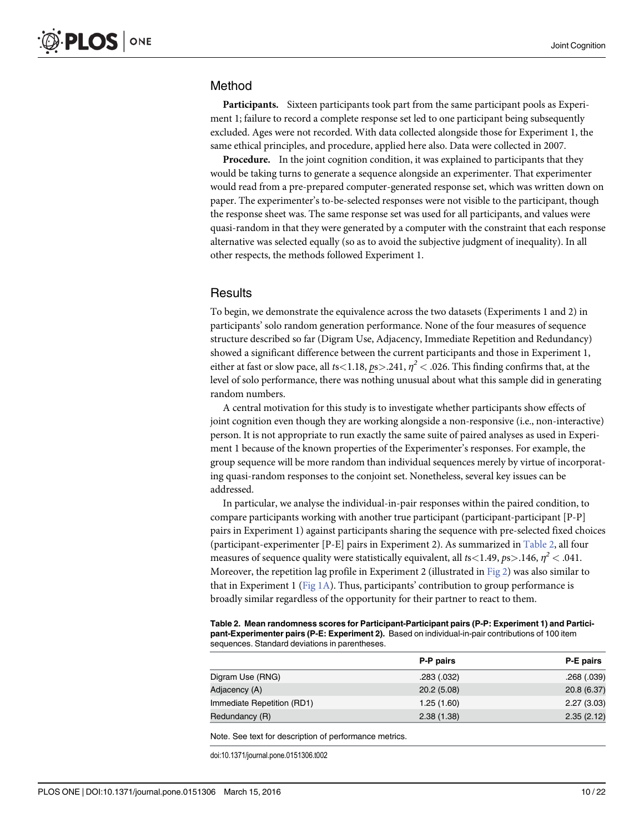## Method

Participants. Sixteen participants took part from the same participant pools as Experiment 1; failure to record a complete response set led to one participant being subsequently excluded. Ages were not recorded. With data collected alongside those for Experiment 1, the same ethical principles, and procedure, applied here also. Data were collected in 2007.

**Procedure.** In the joint cognition condition, it was explained to participants that they would be taking turns to generate a sequence alongside an experimenter. That experimenter would read from a pre-prepared computer-generated response set, which was written down on paper. The experimenter's to-be-selected responses were not visible to the participant, though the response sheet was. The same response set was used for all participants, and values were quasi-random in that they were generated by a computer with the constraint that each response alternative was selected equally (so as to avoid the subjective judgment of inequality). In all other respects, the methods followed Experiment 1.

#### **Results**

To begin, we demonstrate the equivalence across the two datasets (Experiments 1 and 2) in participants' solo random generation performance. None of the four measures of sequence structure described so far (Digram Use, Adjacency, Immediate Repetition and Redundancy) showed a significant difference between the current participants and those in Experiment 1, either at fast or slow pace, all ts < 1.18, ps > .241,  $\eta^2$  < .026. This finding confirms that, at the level of solo performance, there was nothing unusual about what this sample did in generating random numbers.

A central motivation for this study is to investigate whether participants show effects of joint cognition even though they are working alongside a non-responsive (i.e., non-interactive) person. It is not appropriate to run exactly the same suite of paired analyses as used in Experiment 1 because of the known properties of the Experimenter's responses. For example, the group sequence will be more random than individual sequences merely by virtue of incorporating quasi-random responses to the conjoint set. Nonetheless, several key issues can be addressed.

In particular, we analyse the individual-in-pair responses within the paired condition, to compare participants working with another true participant (participant-participant [P-P] pairs in Experiment 1) against participants sharing the sequence with pre-selected fixed choices (participant-experimenter [P-E] pairs in Experiment 2). As summarized in Table 2, all four measures of sequence quality were statistically equivalent, all  $ts < 1.49$ ,  $ps > 0.146$ ,  $n^2 < 0.041$ . Moreover, the repetition lag profile in Experiment 2 (illustrated in Fig 2) was also similar to that in Experiment 1 ( $Fig 1A$ ). Thus, participants' contribution to group performance is broadly similar regardless of the opportunity for their partner to react to them.

| -Table 2.  Mean randomness scores for Participant-Participant pairs (P-P: Experiment 1) and Partici |
|-----------------------------------------------------------------------------------------------------|
| pant-Experimenter pairs (P-E: Experiment 2). Based on individual-in-pair contributions of 100 item  |
| sequences. Standard deviations in parentheses.                                                      |

|                            | P-P pairs  | P-E pairs   |
|----------------------------|------------|-------------|
| Digram Use (RNG)           | .283(.032) | .268(.039)  |
| Adjacency (A)              | 20.2(5.08) | 20.8 (6.37) |
| Immediate Repetition (RD1) | 1.25(1.60) | 2.27(3.03)  |
| Redundancy (R)             | 2.38(1.38) | 2.35(2.12)  |

Note. See text for description of performance metrics.

doi:10.1371/journal.pone.0151306.t002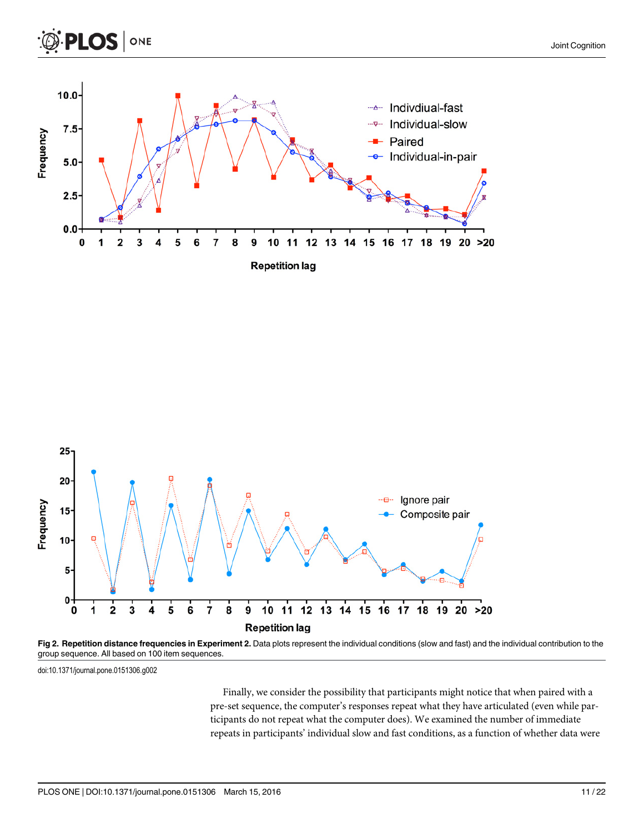





Fig 2. Repetition distance frequencies in Experiment 2. Data plots represent the individual conditions (slow and fast) and the individual contribution to the group sequence. All based on 100 item sequences.

doi:10.1371/journal.pone.0151306.g002

Finally, we consider the possibility that participants might notice that when paired with a pre-set sequence, the computer's responses repeat what they have articulated (even while participants do not repeat what the computer does). We examined the number of immediate repeats in participants' individual slow and fast conditions, as a function of whether data were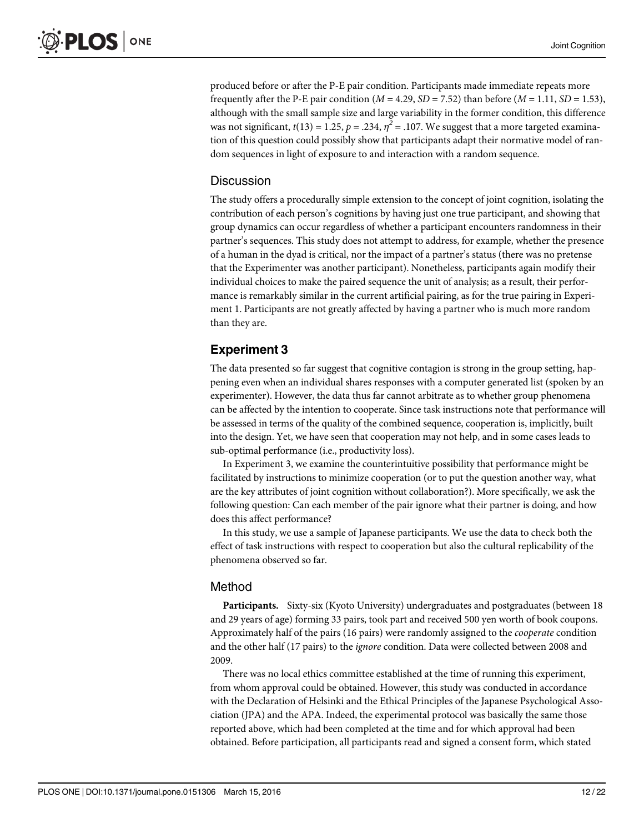produced before or after the P-E pair condition. Participants made immediate repeats more frequently after the P-E pair condition  $(M = 4.29, SD = 7.52)$  than before  $(M = 1.11, SD = 1.53)$ , although with the small sample size and large variability in the former condition, this difference was not significant,  $t(13) = 1.25$ ,  $p = .234$ ,  $\eta^2 = .107$ . We suggest that a more targeted examination of this question could possibly show that participants adapt their normative model of random sequences in light of exposure to and interaction with a random sequence.

## **Discussion**

The study offers a procedurally simple extension to the concept of joint cognition, isolating the contribution of each person's cognitions by having just one true participant, and showing that group dynamics can occur regardless of whether a participant encounters randomness in their partner's sequences. This study does not attempt to address, for example, whether the presence of a human in the dyad is critical, nor the impact of a partner's status (there was no pretense that the Experimenter was another participant). Nonetheless, participants again modify their individual choices to make the paired sequence the unit of analysis; as a result, their performance is remarkably similar in the current artificial pairing, as for the true pairing in Experiment 1. Participants are not greatly affected by having a partner who is much more random than they are.

## Experiment 3

The data presented so far suggest that cognitive contagion is strong in the group setting, happening even when an individual shares responses with a computer generated list (spoken by an experimenter). However, the data thus far cannot arbitrate as to whether group phenomena can be affected by the intention to cooperate. Since task instructions note that performance will be assessed in terms of the quality of the combined sequence, cooperation is, implicitly, built into the design. Yet, we have seen that cooperation may not help, and in some cases leads to sub-optimal performance (i.e., productivity loss).

In Experiment 3, we examine the counterintuitive possibility that performance might be facilitated by instructions to minimize cooperation (or to put the question another way, what are the key attributes of joint cognition without collaboration?). More specifically, we ask the following question: Can each member of the pair ignore what their partner is doing, and how does this affect performance?

In this study, we use a sample of Japanese participants. We use the data to check both the effect of task instructions with respect to cooperation but also the cultural replicability of the phenomena observed so far.

## Method

Participants. Sixty-six (Kyoto University) undergraduates and postgraduates (between 18 and 29 years of age) forming 33 pairs, took part and received 500 yen worth of book coupons. Approximately half of the pairs (16 pairs) were randomly assigned to the cooperate condition and the other half (17 pairs) to the ignore condition. Data were collected between 2008 and 2009.

There was no local ethics committee established at the time of running this experiment, from whom approval could be obtained. However, this study was conducted in accordance with the Declaration of Helsinki and the Ethical Principles of the Japanese Psychological Association (JPA) and the APA. Indeed, the experimental protocol was basically the same those reported above, which had been completed at the time and for which approval had been obtained. Before participation, all participants read and signed a consent form, which stated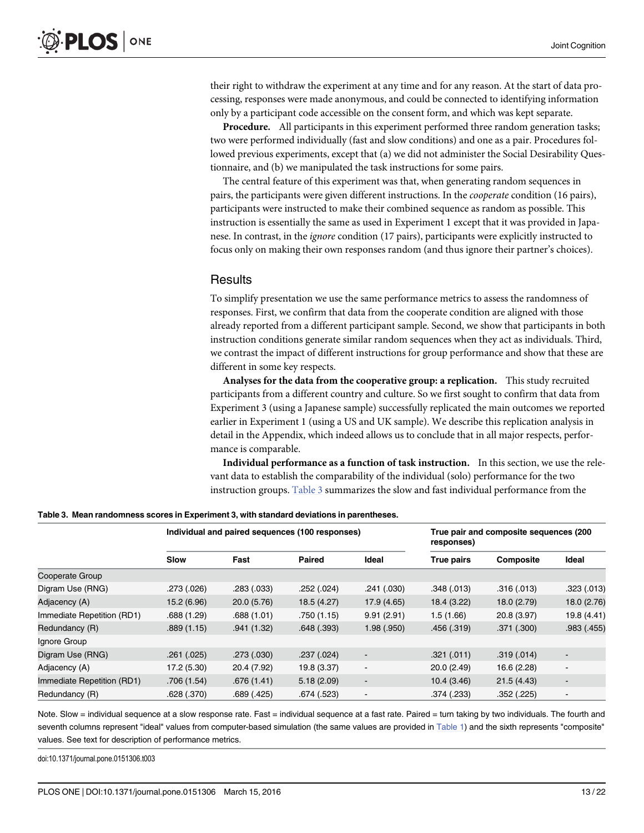their right to withdraw the experiment at any time and for any reason. At the start of data processing, responses were made anonymous, and could be connected to identifying information only by a participant code accessible on the consent form, and which was kept separate.

Procedure. All participants in this experiment performed three random generation tasks; two were performed individually (fast and slow conditions) and one as a pair. Procedures followed previous experiments, except that (a) we did not administer the Social Desirability Questionnaire, and (b) we manipulated the task instructions for some pairs.

The central feature of this experiment was that, when generating random sequences in pairs, the participants were given different instructions. In the cooperate condition (16 pairs), participants were instructed to make their combined sequence as random as possible. This instruction is essentially the same as used in Experiment 1 except that it was provided in Japanese. In contrast, in the ignore condition (17 pairs), participants were explicitly instructed to focus only on making their own responses random (and thus ignore their partner's choices).

#### **Results**

To simplify presentation we use the same performance metrics to assess the randomness of responses. First, we confirm that data from the cooperate condition are aligned with those already reported from a different participant sample. Second, we show that participants in both instruction conditions generate similar random sequences when they act as individuals. Third, we contrast the impact of different instructions for group performance and show that these are different in some key respects.

Analyses for the data from the cooperative group: a replication. This study recruited participants from a different country and culture. So we first sought to confirm that data from Experiment 3 (using a Japanese sample) successfully replicated the main outcomes we reported earlier in Experiment 1 (using a US and UK sample). We describe this replication analysis in detail in the Appendix, which indeed allows us to conclude that in all major respects, performance is comparable.

Individual performance as a function of task instruction. In this section, we use the relevant data to establish the comparability of the individual (solo) performance for the two instruction groups. Table 3 summarizes the slow and fast individual performance from the

|                            | Individual and paired sequences (100 responses) |             |               | True pair and composite sequences (200<br>responses) |             |             |                              |
|----------------------------|-------------------------------------------------|-------------|---------------|------------------------------------------------------|-------------|-------------|------------------------------|
|                            | <b>Slow</b>                                     | Fast        | <b>Paired</b> | Ideal                                                | True pairs  | Composite   | Ideal                        |
| Cooperate Group            |                                                 |             |               |                                                      |             |             |                              |
| Digram Use (RNG)           | .273 (.026)                                     | .283 (.033) | .252(.024)    | .241(.030)                                           | .348(.013)  | .316(.013)  | .323(.013)                   |
| Adjacency (A)              | 15.2 (6.96)                                     | 20.0 (5.76) | 18.5 (4.27)   | 17.9 (4.65)                                          | 18.4 (3.22) | 18.0 (2.79) | 18.0 (2.76)                  |
| Immediate Repetition (RD1) | .688(1.29)                                      | .688(1.01)  | .750(1.15)    | 9.91(2.91)                                           | 1.5(1.66)   | 20.8 (3.97) | 19.8 (4.41)                  |
| Redundancy (R)             | .889(1.15)                                      | .941 (1.32) | .648(.393)    | 1.98(.950)                                           | .456(.319)  | .371(.300)  | .983(.455)                   |
| Ignore Group               |                                                 |             |               |                                                      |             |             |                              |
| Digram Use (RNG)           | .261(.025)                                      | .273 (.030) | .237(.024)    | $\overline{\phantom{a}}$                             | .321(.011)  | .319(.014)  | $\qquad \qquad \blacksquare$ |
| Adjacency (A)              | 17.2 (5.30)                                     | 20.4 (7.92) | 19.8 (3.37)   | $\overline{\phantom{a}}$                             | 20.0 (2.49) | 16.6 (2.28) | $\overline{\phantom{a}}$     |
| Immediate Repetition (RD1) | .706(1.54)                                      | .676(1.41)  | 5.18(2.09)    | $\overline{\phantom{a}}$                             | 10.4(3.46)  | 21.5(4.43)  | $\blacksquare$               |
| Redundancy (R)             | .628(.370)                                      | .689(.425)  | .674 (.523)   | $\overline{\phantom{a}}$                             | .374 (.233) | .352(.225)  | $\overline{\phantom{a}}$     |

Table 3. Mean randomness scores in Experiment 3, with standard deviations in parentheses.

Note. Slow = individual sequence at a slow response rate. Fast = individual sequence at a fast rate. Paired = turn taking by two individuals. The fourth and seventh columns represent "ideal" values from computer-based simulation (the same values are provided in Table 1) and the sixth represents "composite" values. See text for description of performance metrics.

doi:10.1371/journal.pone.0151306.t003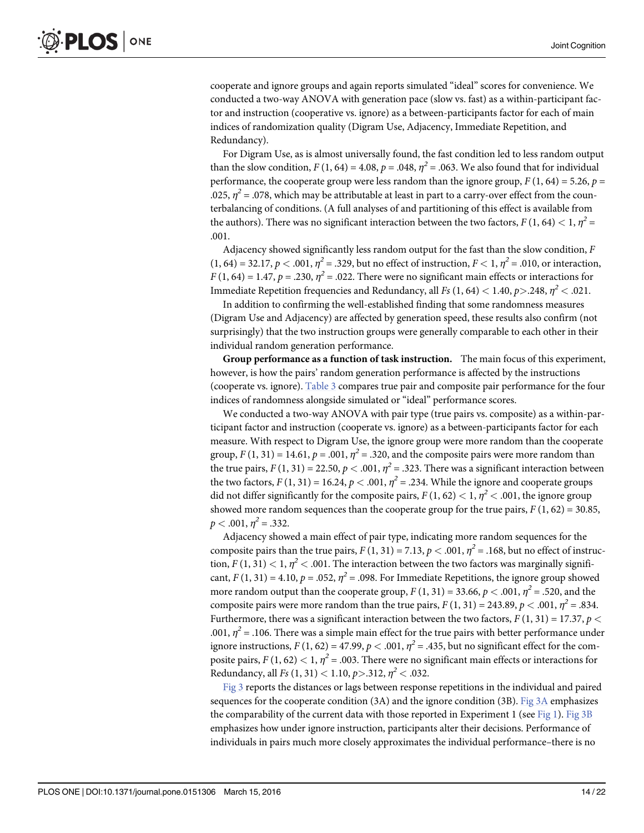cooperate and ignore groups and again reports simulated "ideal" scores for convenience. We conducted a two-way ANOVA with generation pace (slow vs. fast) as a within-participant factor and instruction (cooperative vs. ignore) as a between-participants factor for each of main indices of randomization quality (Digram Use, Adjacency, Immediate Repetition, and Redundancy).

For Digram Use, as is almost universally found, the fast condition led to less random output than the slow condition,  $F(1, 64) = 4.08$ ,  $p = .048$ ,  $\eta^2 = .063$ . We also found that for individual performance, the cooperate group were less random than the ignore group,  $F(1, 64) = 5.26$ ,  $p =$ .025,  $\eta^2$  = .078, which may be attributable at least in part to a carry-over effect from the counterbalancing of conditions. (A full analyses of and partitioning of this effect is available from the authors). There was no significant interaction between the two factors,  $F(1, 64) < 1, \eta^2 =$ .001.

Adjacency showed significantly less random output for the fast than the slow condition,  $F$  $(1, 64) = 32.17, p < .001, \eta^2 = .329$ , but no effect of instruction,  $F < 1, \eta^2 = .010$ , or interaction,  $F(1, 64) = 1.47$ ,  $p = .230$ ,  $\eta^2 = .022$ . There were no significant main effects or interactions for Immediate Repetition frequencies and Redundancy, all Fs  $(1, 64) < 1.40, p > 0.248, \eta^2 < 0.021$ .

In addition to confirming the well-established finding that some randomness measures (Digram Use and Adjacency) are affected by generation speed, these results also confirm (not surprisingly) that the two instruction groups were generally comparable to each other in their individual random generation performance.

Group performance as a function of task instruction. The main focus of this experiment, however, is how the pairs' random generation performance is affected by the instructions (cooperate vs. ignore). Table 3 compares true pair and composite pair performance for the four indices of randomness alongside simulated or "ideal" performance scores.

We conducted a two-way ANOVA with pair type (true pairs vs. composite) as a within-participant factor and instruction (cooperate vs. ignore) as a between-participants factor for each measure. With respect to Digram Use, the ignore group were more random than the cooperate group,  $F(1, 31) = 14.61$ ,  $p = .001$ ,  $\eta^2 = .320$ , and the composite pairs were more random than the true pairs,  $F(1, 31) = 22.50$ ,  $p < .001$ ,  $\eta^2 = .323$ . There was a significant interaction between the two factors,  $F(1, 31) = 16.24$ ,  $p < .001$ ,  $n^2 = .234$ . While the ignore and cooperate groups did not differ significantly for the composite pairs,  $F(1, 62) < 1, \eta^2 < .001$ , the ignore group showed more random sequences than the cooperate group for the true pairs,  $F(1, 62) = 30.85$ ,  $p < .001$ ,  $n^2 = .332$ .

Adjacency showed a main effect of pair type, indicating more random sequences for the composite pairs than the true pairs,  $F(1, 31) = 7.13$ ,  $p < .001$ ,  $\eta^2 = .168$ , but no effect of instruction,  $F(1, 31) < 1, \eta^2 < .001$ . The interaction between the two factors was marginally significant,  $F(1, 31) = 4.10$ ,  $p = .052$ ,  $\eta^2 = .098$ . For Immediate Repetitions, the ignore group showed more random output than the cooperate group,  $F(1, 31) = 33.66$ ,  $p < .001$ ,  $\eta^2 = .520$ , and the composite pairs were more random than the true pairs,  $F(1, 31) = 243.89$ ,  $p < .001$ ,  $\eta^2 = .834$ . Furthermore, there was a significant interaction between the two factors,  $F(1, 31) = 17.37$ ,  $p <$ .001,  $\eta^2$  = .106. There was a simple main effect for the true pairs with better performance under ignore instructions,  $F(1, 62) = 47.99$ ,  $p < .001$ ,  $\eta^2 = .435$ , but no significant effect for the composite pairs,  $F(1, 62) < 1$ ,  $\eta^2 = .003$ . There were no significant main effects or interactions for Redundancy, all  $Fs(1, 31) < 1.10, p > .312, \eta^2 < .032$ .

Fig 3 reports the distances or lags between response repetitions in the individual and paired sequences for the cooperate condition (3A) and the ignore condition (3B). Fig 3A emphasizes the comparability of the current data with those reported in Experiment 1 (see Fig 1). Fig 3B emphasizes how under ignore instruction, participants alter their decisions. Performance of individuals in pairs much more closely approximates the individual performance–there is no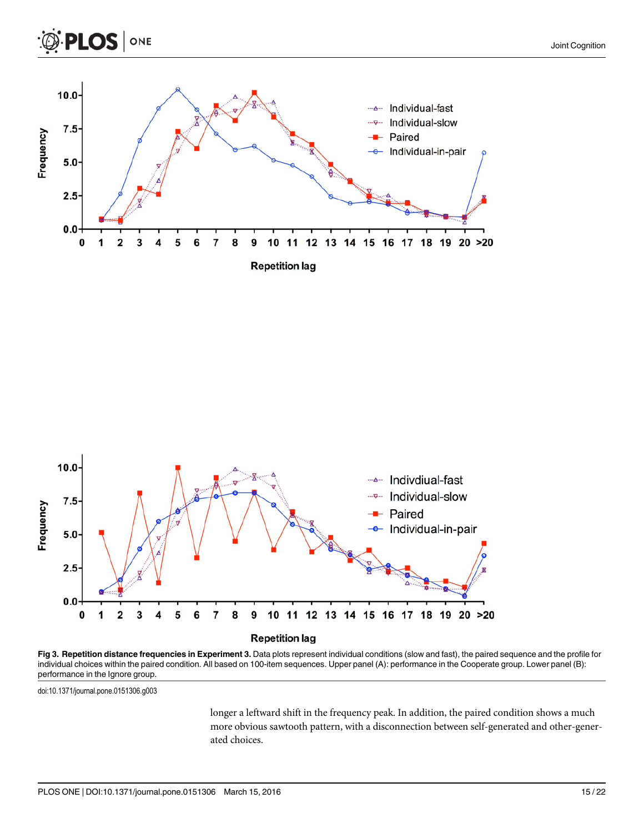





Fig 3. Repetition distance frequencies in Experiment 3. Data plots represent individual conditions (slow and fast), the paired sequence and the profile for individual choices within the paired condition. All based on 100-item sequences. Upper panel (A): performance in the Cooperate group. Lower panel (B): performance in the Ignore group.

doi:10.1371/journal.pone.0151306.g003

longer a leftward shift in the frequency peak. In addition, the paired condition shows a much more obvious sawtooth pattern, with a disconnection between self-generated and other-generated choices.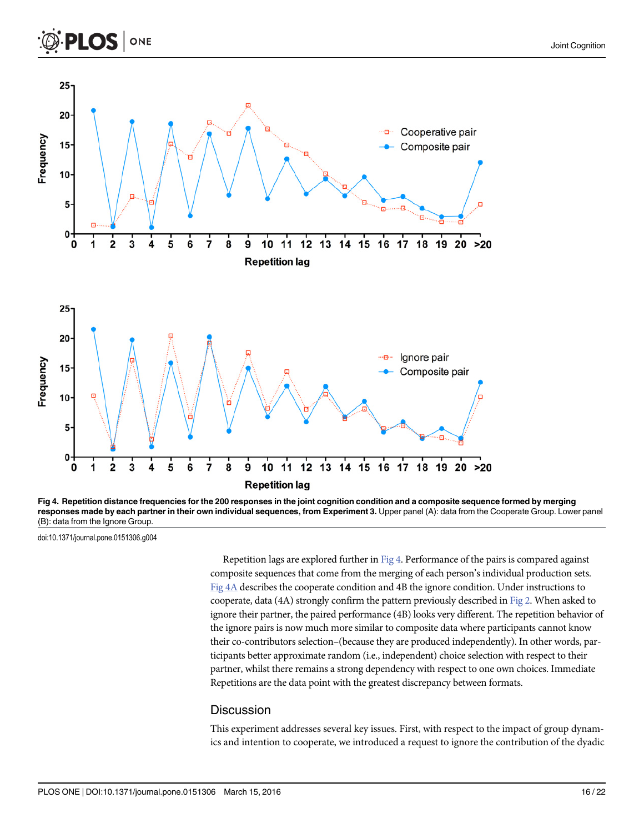



Fig 4. Repetition distance frequencies for the 200 responses in the joint cognition condition and a composite sequence formed by merging responses made by each partner in their own individual sequences, from Experiment 3. Upper panel (A): data from the Cooperate Group. Lower panel (B): data from the Ignore Group.

doi:10.1371/journal.pone.0151306.g004

Repetition lags are explored further in  $Fig 4$ . Performance of the pairs is compared against composite sequences that come from the merging of each person's individual production sets. Fig 4A describes the cooperate condition and 4B the ignore condition. Under instructions to cooperate, data (4A) strongly confirm the pattern previously described in Fig 2. When asked to ignore their partner, the paired performance (4B) looks very different. The repetition behavior of the ignore pairs is now much more similar to composite data where participants cannot know their co-contributors selection–(because they are produced independently). In other words, participants better approximate random (i.e., independent) choice selection with respect to their partner, whilst there remains a strong dependency with respect to one own choices. Immediate Repetitions are the data point with the greatest discrepancy between formats.

#### **Discussion**

This experiment addresses several key issues. First, with respect to the impact of group dynamics and intention to cooperate, we introduced a request to ignore the contribution of the dyadic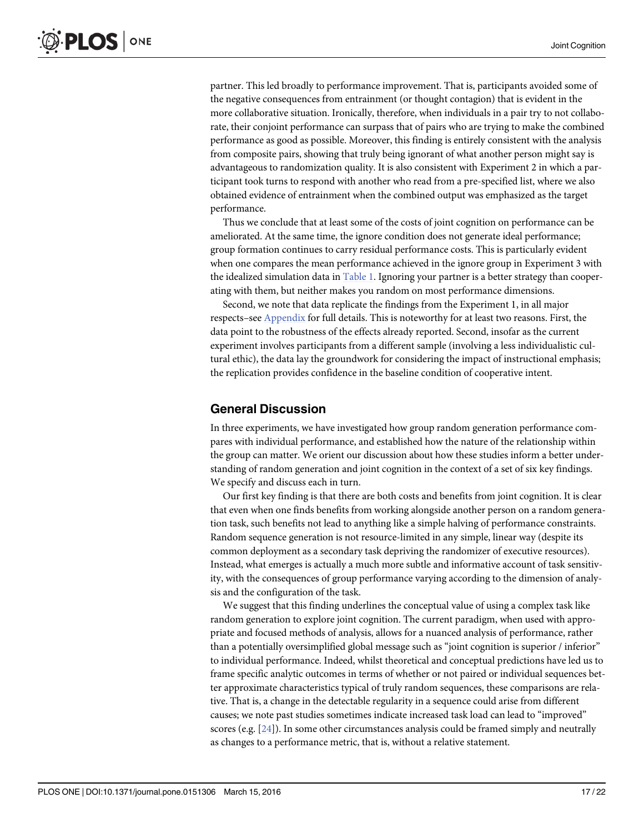partner. This led broadly to performance improvement. That is, participants avoided some of the negative consequences from entrainment (or thought contagion) that is evident in the more collaborative situation. Ironically, therefore, when individuals in a pair try to not collaborate, their conjoint performance can surpass that of pairs who are trying to make the combined performance as good as possible. Moreover, this finding is entirely consistent with the analysis from composite pairs, showing that truly being ignorant of what another person might say is advantageous to randomization quality. It is also consistent with Experiment 2 in which a participant took turns to respond with another who read from a pre-specified list, where we also obtained evidence of entrainment when the combined output was emphasized as the target performance.

Thus we conclude that at least some of the costs of joint cognition on performance can be ameliorated. At the same time, the ignore condition does not generate ideal performance; group formation continues to carry residual performance costs. This is particularly evident when one compares the mean performance achieved in the ignore group in Experiment 3 with the idealized simulation data in Table 1. Ignoring your partner is a better strategy than cooperating with them, but neither makes you random on most performance dimensions.

Second, we note that data replicate the findings from the Experiment 1, in all major respects–see Appendix for full details. This is noteworthy for at least two reasons. First, the data point to the robustness of the effects already reported. Second, insofar as the current experiment involves participants from a different sample (involving a less individualistic cultural ethic), the data lay the groundwork for considering the impact of instructional emphasis; the replication provides confidence in the baseline condition of cooperative intent.

## General Discussion

In three experiments, we have investigated how group random generation performance compares with individual performance, and established how the nature of the relationship within the group can matter. We orient our discussion about how these studies inform a better understanding of random generation and joint cognition in the context of a set of six key findings. We specify and discuss each in turn.

Our first key finding is that there are both costs and benefits from joint cognition. It is clear that even when one finds benefits from working alongside another person on a random generation task, such benefits not lead to anything like a simple halving of performance constraints. Random sequence generation is not resource-limited in any simple, linear way (despite its common deployment as a secondary task depriving the randomizer of executive resources). Instead, what emerges is actually a much more subtle and informative account of task sensitivity, with the consequences of group performance varying according to the dimension of analysis and the configuration of the task.

We suggest that this finding underlines the conceptual value of using a complex task like random generation to explore joint cognition. The current paradigm, when used with appropriate and focused methods of analysis, allows for a nuanced analysis of performance, rather than a potentially oversimplified global message such as "joint cognition is superior / inferior" to individual performance. Indeed, whilst theoretical and conceptual predictions have led us to frame specific analytic outcomes in terms of whether or not paired or individual sequences better approximate characteristics typical of truly random sequences, these comparisons are relative. That is, a change in the detectable regularity in a sequence could arise from different causes; we note past studies sometimes indicate increased task load can lead to "improved" scores (e.g.  $[24]$ ). In some other circumstances analysis could be framed simply and neutrally as changes to a performance metric, that is, without a relative statement.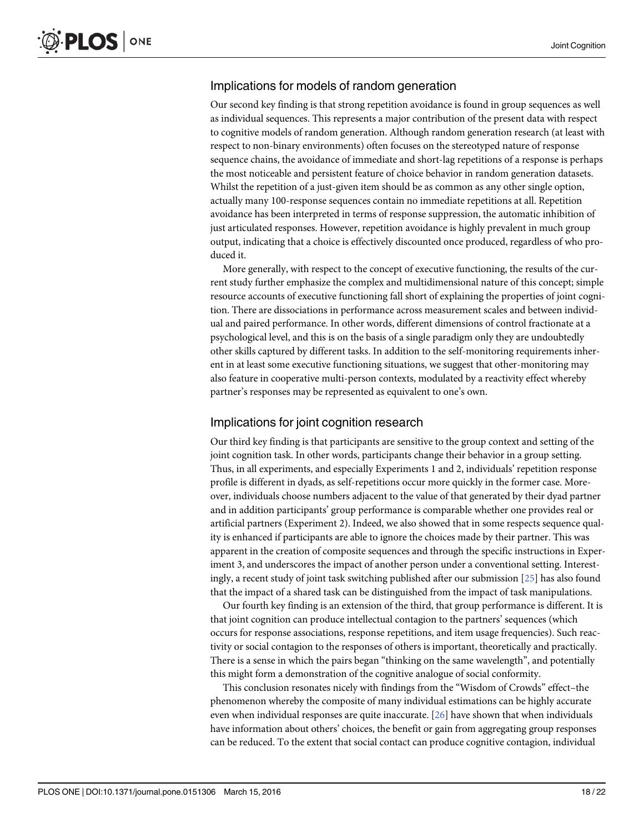## Implications for models of random generation

Our second key finding is that strong repetition avoidance is found in group sequences as well as individual sequences. This represents a major contribution of the present data with respect to cognitive models of random generation. Although random generation research (at least with respect to non-binary environments) often focuses on the stereotyped nature of response sequence chains, the avoidance of immediate and short-lag repetitions of a response is perhaps the most noticeable and persistent feature of choice behavior in random generation datasets. Whilst the repetition of a just-given item should be as common as any other single option, actually many 100-response sequences contain no immediate repetitions at all. Repetition avoidance has been interpreted in terms of response suppression, the automatic inhibition of just articulated responses. However, repetition avoidance is highly prevalent in much group output, indicating that a choice is effectively discounted once produced, regardless of who produced it.

More generally, with respect to the concept of executive functioning, the results of the current study further emphasize the complex and multidimensional nature of this concept; simple resource accounts of executive functioning fall short of explaining the properties of joint cognition. There are dissociations in performance across measurement scales and between individual and paired performance. In other words, different dimensions of control fractionate at a psychological level, and this is on the basis of a single paradigm only they are undoubtedly other skills captured by different tasks. In addition to the self-monitoring requirements inherent in at least some executive functioning situations, we suggest that other-monitoring may also feature in cooperative multi-person contexts, modulated by a reactivity effect whereby partner's responses may be represented as equivalent to one's own.

## Implications for joint cognition research

Our third key finding is that participants are sensitive to the group context and setting of the joint cognition task. In other words, participants change their behavior in a group setting. Thus, in all experiments, and especially Experiments 1 and 2, individuals' repetition response profile is different in dyads, as self-repetitions occur more quickly in the former case. Moreover, individuals choose numbers adjacent to the value of that generated by their dyad partner and in addition participants' group performance is comparable whether one provides real or artificial partners (Experiment 2). Indeed, we also showed that in some respects sequence quality is enhanced if participants are able to ignore the choices made by their partner. This was apparent in the creation of composite sequences and through the specific instructions in Experiment 3, and underscores the impact of another person under a conventional setting. Interestingly, a recent study of joint task switching published after our submission [25] has also found that the impact of a shared task can be distinguished from the impact of task manipulations.

Our fourth key finding is an extension of the third, that group performance is different. It is that joint cognition can produce intellectual contagion to the partners' sequences (which occurs for response associations, response repetitions, and item usage frequencies). Such reactivity or social contagion to the responses of others is important, theoretically and practically. There is a sense in which the pairs began "thinking on the same wavelength", and potentially this might form a demonstration of the cognitive analogue of social conformity.

This conclusion resonates nicely with findings from the "Wisdom of Crowds" effect–the phenomenon whereby the composite of many individual estimations can be highly accurate even when individual responses are quite inaccurate. [26] have shown that when individuals have information about others' choices, the benefit or gain from aggregating group responses can be reduced. To the extent that social contact can produce cognitive contagion, individual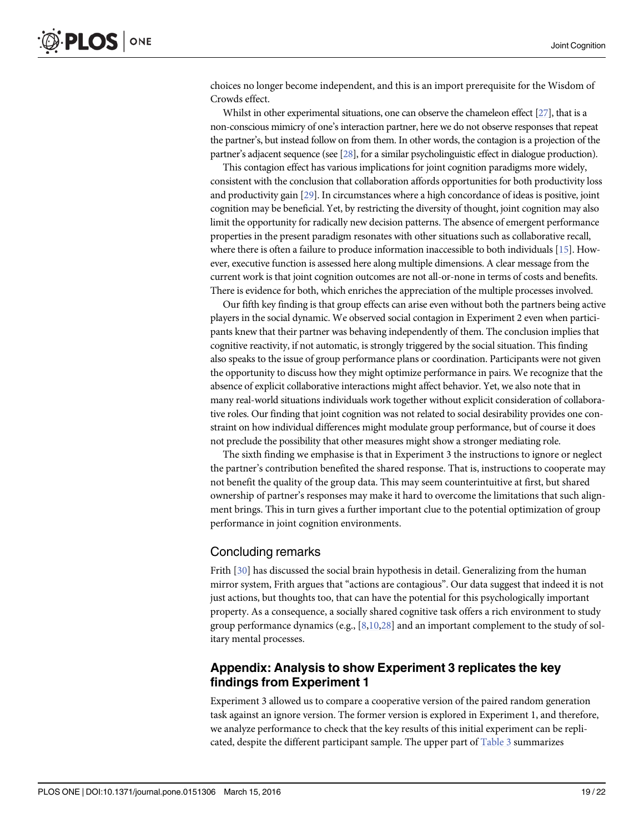choices no longer become independent, and this is an import prerequisite for the Wisdom of Crowds effect.

Whilst in other experimental situations, one can observe the chameleon effect [27], that is a non-conscious mimicry of one's interaction partner, here we do not observe responses that repeat the partner's, but instead follow on from them. In other words, the contagion is a projection of the partner's adjacent sequence (see [28], for a similar psycholinguistic effect in dialogue production).

This contagion effect has various implications for joint cognition paradigms more widely, consistent with the conclusion that collaboration affords opportunities for both productivity loss and productivity gain [29]. In circumstances where a high concordance of ideas is positive, joint cognition may be beneficial. Yet, by restricting the diversity of thought, joint cognition may also limit the opportunity for radically new decision patterns. The absence of emergent performance properties in the present paradigm resonates with other situations such as collaborative recall, where there is often a failure to produce information inaccessible to both individuals [15]. However, executive function is assessed here along multiple dimensions. A clear message from the current work is that joint cognition outcomes are not all-or-none in terms of costs and benefits. There is evidence for both, which enriches the appreciation of the multiple processes involved.

Our fifth key finding is that group effects can arise even without both the partners being active players in the social dynamic. We observed social contagion in Experiment 2 even when participants knew that their partner was behaving independently of them. The conclusion implies that cognitive reactivity, if not automatic, is strongly triggered by the social situation. This finding also speaks to the issue of group performance plans or coordination. Participants were not given the opportunity to discuss how they might optimize performance in pairs. We recognize that the absence of explicit collaborative interactions might affect behavior. Yet, we also note that in many real-world situations individuals work together without explicit consideration of collaborative roles. Our finding that joint cognition was not related to social desirability provides one constraint on how individual differences might modulate group performance, but of course it does not preclude the possibility that other measures might show a stronger mediating role.

The sixth finding we emphasise is that in Experiment 3 the instructions to ignore or neglect the partner's contribution benefited the shared response. That is, instructions to cooperate may not benefit the quality of the group data. This may seem counterintuitive at first, but shared ownership of partner's responses may make it hard to overcome the limitations that such alignment brings. This in turn gives a further important clue to the potential optimization of group performance in joint cognition environments.

#### Concluding remarks

Frith [30] has discussed the social brain hypothesis in detail. Generalizing from the human mirror system, Frith argues that "actions are contagious". Our data suggest that indeed it is not just actions, but thoughts too, that can have the potential for this psychologically important property. As a consequence, a socially shared cognitive task offers a rich environment to study group performance dynamics (e.g.,  $[8,10,28]$  and an important complement to the study of solitary mental processes.

## Appendix: Analysis to show Experiment 3 replicates the key findings from Experiment 1

Experiment 3 allowed us to compare a cooperative version of the paired random generation task against an ignore version. The former version is explored in Experiment 1, and therefore, we analyze performance to check that the key results of this initial experiment can be replicated, despite the different participant sample. The upper part of Table 3 summarizes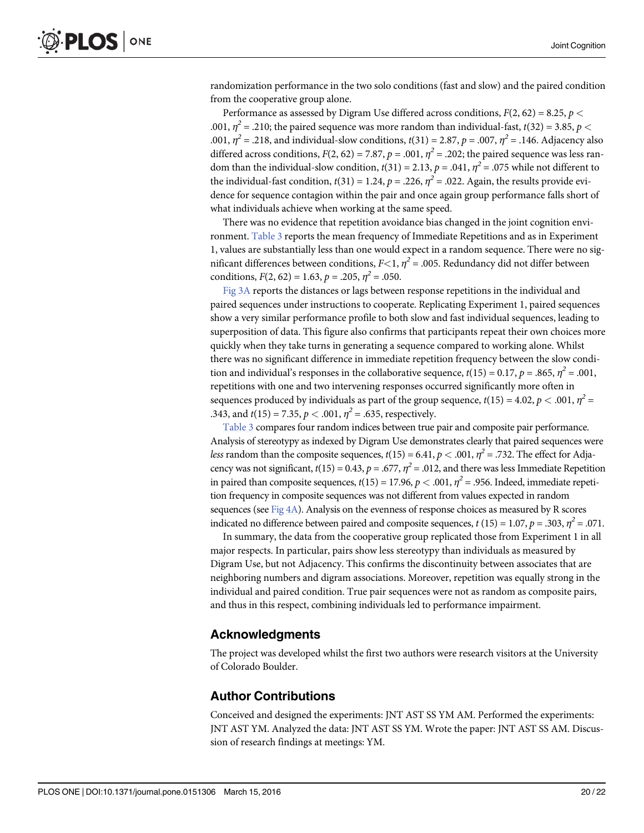randomization performance in the two solo conditions (fast and slow) and the paired condition from the cooperative group alone.

Performance as assessed by Digram Use differed across conditions,  $F(2, 62) = 8.25$ ,  $p <$ .001,  $\eta^2$  = .210; the paired sequence was more random than individual-fast,  $t(32)$  = 3.85,  $p$  < .001,  $\eta^2$  = .218, and individual-slow conditions,  $t(31) = 2.87$ ,  $p = .007$ ,  $\eta^2$  = .146. Adjacency also differed across conditions,  $F(2, 62) = 7.87$ ,  $p = .001$ ,  $\eta^2 = .202$ ; the paired sequence was less random than the individual-slow condition,  $t(31) = 2.13$ ,  $p = .041$ ,  $\eta^2 = .075$  while not different to the individual-fast condition,  $t(31) = 1.24$ ,  $p = .226$ ,  $\eta^2 = .022$ . Again, the results provide evidence for sequence contagion within the pair and once again group performance falls short of what individuals achieve when working at the same speed.

There was no evidence that repetition avoidance bias changed in the joint cognition environment. Table 3 reports the mean frequency of Immediate Repetitions and as in Experiment 1, values are substantially less than one would expect in a random sequence. There were no significant differences between conditions,  $F<1$ ,  $n^2 = .005$ . Redundancy did not differ between conditions,  $F(2, 62) = 1.63$ ,  $p = .205$ ,  $\eta^2 = .050$ .

Fig 3A reports the distances or lags between response repetitions in the individual and paired sequences under instructions to cooperate. Replicating Experiment 1, paired sequences show a very similar performance profile to both slow and fast individual sequences, leading to superposition of data. This figure also confirms that participants repeat their own choices more quickly when they take turns in generating a sequence compared to working alone. Whilst there was no significant difference in immediate repetition frequency between the slow condition and individual's responses in the collaborative sequence,  $t(15) = 0.17$ ,  $p = .865$ ,  $\eta^2 = .001$ , repetitions with one and two intervening responses occurred significantly more often in sequences produced by individuals as part of the group sequence,  $t(15) = 4.02$ ,  $p < .001$ ,  $\eta^2 =$ .343, and  $t(15) = 7.35$ ,  $p < .001$ ,  $\eta^2 = .635$ , respectively.

Table 3 compares four random indices between true pair and composite pair performance. Analysis of stereotypy as indexed by Digram Use demonstrates clearly that paired sequences were less random than the composite sequences,  $t(15) = 6.41$ ,  $p < .001$ ,  $\eta^2 = .732$ . The effect for Adjacency was not significant,  $t(15) = 0.43$ ,  $p = .677$ ,  $\eta^2 = .012$ , and there was less Immediate Repetition in paired than composite sequences,  $t(15) = 17.96$ ,  $p < .001$ ,  $\eta^2 = .956$ . Indeed, immediate repetition frequency in composite sequences was not different from values expected in random sequences (see Fig  $4A$ ). Analysis on the evenness of response choices as measured by R scores indicated no difference between paired and composite sequences, t (15) = 1.07, p = .303,  $\eta^2$  = .071.

In summary, the data from the cooperative group replicated those from Experiment 1 in all major respects. In particular, pairs show less stereotypy than individuals as measured by Digram Use, but not Adjacency. This confirms the discontinuity between associates that are neighboring numbers and digram associations. Moreover, repetition was equally strong in the individual and paired condition. True pair sequences were not as random as composite pairs, and thus in this respect, combining individuals led to performance impairment.

#### Acknowledgments

The project was developed whilst the first two authors were research visitors at the University of Colorado Boulder.

## Author Contributions

Conceived and designed the experiments: JNT AST SS YM AM. Performed the experiments: JNT AST YM. Analyzed the data: JNT AST SS YM. Wrote the paper: JNT AST SS AM. Discussion of research findings at meetings: YM.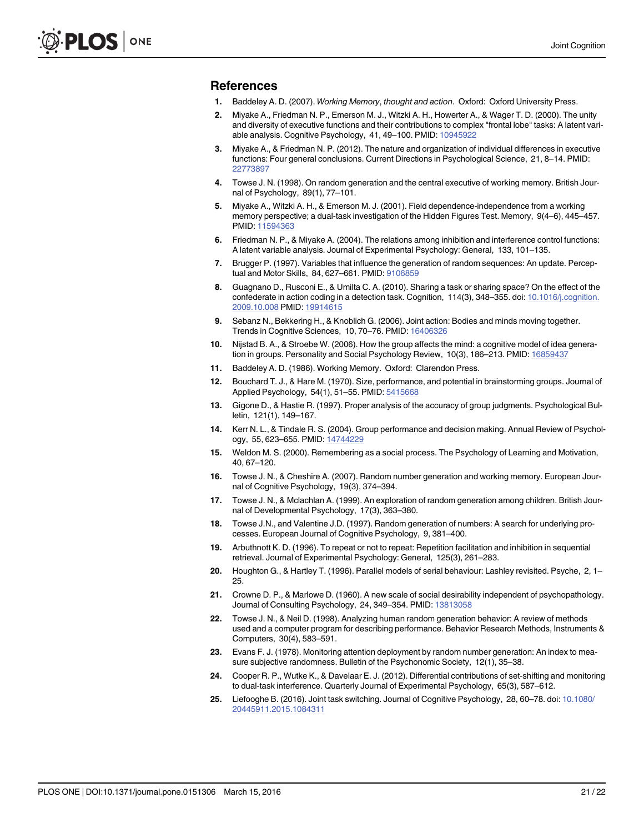#### References

- 1. Baddeley A. D. (2007). Working Memory, thought and action. Oxford: Oxford University Press.
- 2. Miyake A., Friedman N. P., Emerson M. J., Witzki A. H., Howerter A., & Wager T. D. (2000). The unity and diversity of executive functions and their contributions to complex "frontal lobe" tasks: A latent variable analysis. Cognitive Psychology, 41, 49–100. PMID: [10945922](http://www.ncbi.nlm.nih.gov/pubmed/10945922)
- 3. Miyake A., & Friedman N. P. (2012). The nature and organization of individual differences in executive functions: Four general conclusions. Current Directions in Psychological Science, 21, 8–14. PMID: [22773897](http://www.ncbi.nlm.nih.gov/pubmed/22773897)
- 4. Towse J. N. (1998). On random generation and the central executive of working memory. British Journal of Psychology, 89(1), 77–101.
- 5. Miyake A., Witzki A. H., & Emerson M. J. (2001). Field dependence-independence from a working memory perspective; a dual-task investigation of the Hidden Figures Test. Memory, 9(4–6), 445–457. PMID: [11594363](http://www.ncbi.nlm.nih.gov/pubmed/11594363)
- 6. Friedman N. P., & Miyake A. (2004). The relations among inhibition and interference control functions: A latent variable analysis. Journal of Experimental Psychology: General, 133, 101–135.
- 7. Brugger P. (1997). Variables that influence the generation of random sequences: An update. Perceptual and Motor Skills, 84, 627–661. PMID: [9106859](http://www.ncbi.nlm.nih.gov/pubmed/9106859)
- 8. Guagnano D., Rusconi E., & Umilta C. A. (2010). Sharing a task or sharing space? On the effect of the confederate in action coding in a detection task. Cognition, 114(3), 348–355. doi: [10.1016/j.cognition.](http://dx.doi.org/10.1016/j.cognition.2009.10.008) [2009.10.008](http://dx.doi.org/10.1016/j.cognition.2009.10.008) PMID: [19914615](http://www.ncbi.nlm.nih.gov/pubmed/19914615)
- 9. Sebanz N., Bekkering H., & Knoblich G. (2006). Joint action: Bodies and minds moving together. Trends in Cognitive Sciences, 10, 70–76. PMID: [16406326](http://www.ncbi.nlm.nih.gov/pubmed/16406326)
- 10. Nijstad B. A., & Stroebe W. (2006). How the group affects the mind: a cognitive model of idea generation in groups. Personality and Social Psychology Review, 10(3), 186–213. PMID: [16859437](http://www.ncbi.nlm.nih.gov/pubmed/16859437)
- 11. Baddeley A. D. (1986). Working Memory. Oxford: Clarendon Press.
- 12. Bouchard T. J., & Hare M. (1970). Size, performance, and potential in brainstorming groups. Journal of Applied Psychology, 54(1), 51-55. PMID: [5415668](http://www.ncbi.nlm.nih.gov/pubmed/5415668)
- 13. Gigone D., & Hastie R. (1997). Proper analysis of the accuracy of group judgments. Psychological Bulletin, 121(1), 149–167.
- 14. Kerr N. L., & Tindale R. S. (2004). Group performance and decision making. Annual Review of Psychol-ogy, 55, 623-655. PMID: [14744229](http://www.ncbi.nlm.nih.gov/pubmed/14744229)
- 15. Weldon M. S. (2000). Remembering as a social process. The Psychology of Learning and Motivation, 40, 67–120.
- 16. Towse J. N., & Cheshire A. (2007). Random number generation and working memory. European Journal of Cognitive Psychology, 19(3), 374–394.
- 17. Towse J. N., & Mclachlan A. (1999). An exploration of random generation among children. British Journal of Developmental Psychology, 17(3), 363–380.
- 18. Towse J.N., and Valentine J.D. (1997). Random generation of numbers: A search for underlying processes. European Journal of Cognitive Psychology, 9, 381–400.
- 19. Arbuthnott K. D. (1996). To repeat or not to repeat: Repetition facilitation and inhibition in sequential retrieval. Journal of Experimental Psychology: General, 125(3), 261–283.
- 20. Houghton G., & Hartley T. (1996). Parallel models of serial behaviour: Lashley revisited. Psyche, 2, 1– 25.
- 21. Crowne D. P., & Marlowe D. (1960). A new scale of social desirability independent of psychopathology. Journal of Consulting Psychology, 24, 349–354. PMID: [13813058](http://www.ncbi.nlm.nih.gov/pubmed/13813058)
- 22. Towse J. N., & Neil D. (1998). Analyzing human random generation behavior: A review of methods used and a computer program for describing performance. Behavior Research Methods, Instruments & Computers, 30(4), 583–591.
- 23. Evans F. J. (1978). Monitoring attention deployment by random number generation: An index to measure subjective randomness. Bulletin of the Psychonomic Society, 12(1), 35–38.
- 24. Cooper R. P., Wutke K., & Davelaar E. J. (2012). Differential contributions of set-shifting and monitoring to dual-task interference. Quarterly Journal of Experimental Psychology, 65(3), 587–612.
- 25. Liefooghe B. (2016). Joint task switching. Journal of Cognitive Psychology, 28, 60–78. doi: [10.1080/](http://dx.doi.org/10.1080/20445911.2015.1084311) [20445911.2015.1084311](http://dx.doi.org/10.1080/20445911.2015.1084311)